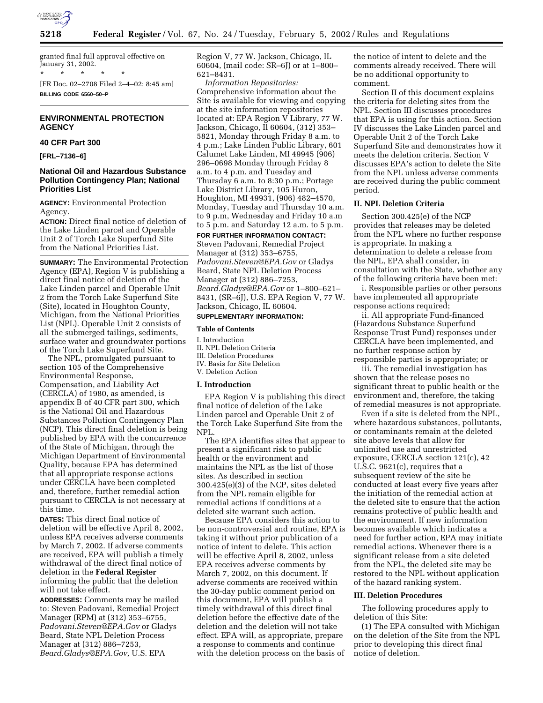

granted final full approval effective on January 31, 2002. \* \* \* \* \*

[FR Doc. 02–2708 Filed 2–4–02; 8:45 am] **BILLING CODE 6560–50–P**

# **ENVIRONMENTAL PROTECTION AGENCY**

## **40 CFR Part 300**

**[FRL–7136–6]**

# **National Oil and Hazardous Substance Pollution Contingency Plan; National Priorities List**

**AGENCY:** Environmental Protection Agency.

**ACTION:** Direct final notice of deletion of the Lake Linden parcel and Operable Unit 2 of Torch Lake Superfund Site from the National Priorities List.

**SUMMARY:** The Environmental Protection Agency (EPA), Region V is publishing a direct final notice of deletion of the Lake Linden parcel and Operable Unit 2 from the Torch Lake Superfund Site (Site), located in Houghton County, Michigan, from the National Priorities List (NPL). Operable Unit 2 consists of all the submerged tailings, sediments, surface water and groundwater portions of the Torch Lake Superfund Site.

The NPL, promulgated pursuant to section 105 of the Comprehensive Environmental Response, Compensation, and Liability Act (CERCLA) of 1980, as amended, is appendix B of 40 CFR part 300, which is the National Oil and Hazardous Substances Pollution Contingency Plan (NCP). This direct final deletion is being published by EPA with the concurrence of the State of Michigan, through the Michigan Department of Environmental Quality, because EPA has determined that all appropriate response actions under CERCLA have been completed and, therefore, further remedial action pursuant to CERCLA is not necessary at this time.

**DATES:** This direct final notice of deletion will be effective April 8, 2002, unless EPA receives adverse comments by March 7, 2002. If adverse comments are received, EPA will publish a timely withdrawal of the direct final notice of deletion in the **Federal Register** informing the public that the deletion will not take effect.

**ADDRESSES:** Comments may be mailed to: Steven Padovani, Remedial Project Manager (RPM) at (312) 353–6755, *Padovani.Steven@EPA.Gov* or Gladys Beard, State NPL Deletion Process Manager at (312) 886–7253, *Beard.Gladys@EPA.Gov,* U.S. EPA

Region V, 77 W. Jackson, Chicago, IL 60604, (mail code: SR–6J) or at 1–800– 621–8431.

*Information Repositories:* Comprehensive information about the Site is available for viewing and copying at the site information repositories located at: EPA Region V Library, 77 W. Jackson, Chicago, Il 60604, (312) 353– 5821, Monday through Friday 8 a.m. to 4 p.m.; Lake Linden Public Library, 601 Calumet Lake Linden, MI 49945 (906) 296–0698 Monday through Friday 8 a.m. to 4 p.m. and Tuesday and Thursday 6 a.m. to 8:30 p.m.; Portage Lake District Library, 105 Huron, Houghton, MI 49931, (906) 482–4570, Monday, Tuesday and Thursday 10 a.m. to 9 p.m, Wednesday and Friday 10 a.m to 5 p.m. and Saturday 12 a.m. to 5 p.m. **FOR FURTHER INFORMATION CONTACT:**

Steven Padovani, Remedial Project Manager at (312) 353–6755, *Padovani.Steven@EPA.Gov* or Gladys Beard, State NPL Deletion Process Manager at (312) 886–7253, *Beard.Gladys@EPA.Gov* or 1–800–621– 8431, (SR–6J), U.S. EPA Region V, 77 W. Jackson, Chicago, IL 60604.

# **SUPPLEMENTARY INFORMATION:**

#### **Table of Contents**

- I. Introduction
- II. NPL Deletion Criteria III. Deletion Procedures
- IV. Basis for Site Deletion
- V. Deletion Action

## **I. Introduction**

EPA Region V is publishing this direct final notice of deletion of the Lake Linden parcel and Operable Unit 2 of the Torch Lake Superfund Site from the NPL.

The EPA identifies sites that appear to present a significant risk to public health or the environment and maintains the NPL as the list of those sites. As described in section 300.425(e)(3) of the NCP, sites deleted from the NPL remain eligible for remedial actions if conditions at a deleted site warrant such action.

Because EPA considers this action to be non-controversial and routine, EPA is taking it without prior publication of a notice of intent to delete. This action will be effective April 8, 2002, unless EPA receives adverse comments by March 7, 2002, on this document. If adverse comments are received within the 30-day public comment period on this document, EPA will publish a timely withdrawal of this direct final deletion before the effective date of the deletion and the deletion will not take effect. EPA will, as appropriate, prepare a response to comments and continue with the deletion process on the basis of

the notice of intent to delete and the comments already received. There will be no additional opportunity to comment.

Section II of this document explains the criteria for deleting sites from the NPL. Section III discusses procedures that EPA is using for this action. Section IV discusses the Lake Linden parcel and Operable Unit 2 of the Torch Lake Superfund Site and demonstrates how it meets the deletion criteria. Section V discusses EPA's action to delete the Site from the NPL unless adverse comments are received during the public comment period.

# **II. NPL Deletion Criteria**

Section 300.425(e) of the NCP provides that releases may be deleted from the NPL where no further response is appropriate. In making a determination to delete a release from the NPL, EPA shall consider, in consultation with the State, whether any of the following criteria have been met:

i. Responsible parties or other persons have implemented all appropriate response actions required;

ii. All appropriate Fund-financed (Hazardous Substance Superfund Response Trust Fund) responses under CERCLA have been implemented, and no further response action by responsible parties is appropriate; or

iii. The remedial investigation has shown that the release poses no significant threat to public health or the environment and, therefore, the taking of remedial measures is not appropriate.

Even if a site is deleted from the NPL, where hazardous substances, pollutants, or contaminants remain at the deleted site above levels that allow for unlimited use and unrestricted exposure, CERCLA section 121(c), 42 U.S.C. 9621(c), requires that a subsequent review of the site be conducted at least every five years after the initiation of the remedial action at the deleted site to ensure that the action remains protective of public health and the environment. If new information becomes available which indicates a need for further action, EPA may initiate remedial actions. Whenever there is a significant release from a site deleted from the NPL, the deleted site may be restored to the NPL without application of the hazard ranking system.

#### **III. Deletion Procedures**

The following procedures apply to deletion of this Site:

(1) The EPA consulted with Michigan on the deletion of the Site from the NPL prior to developing this direct final notice of deletion.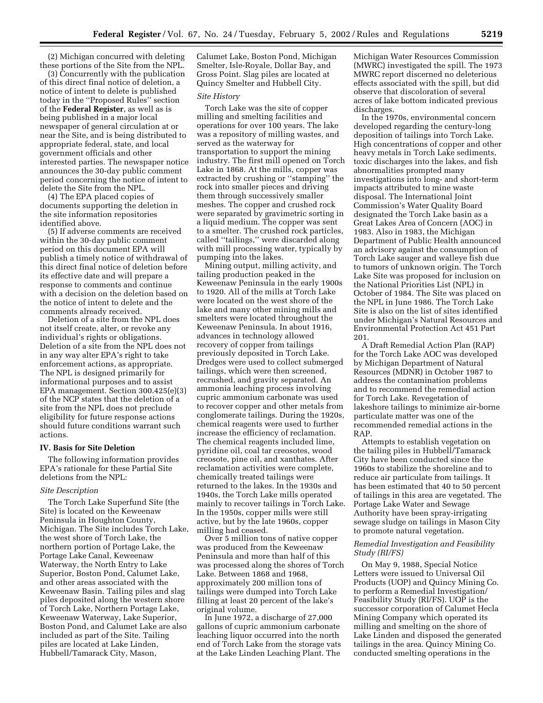(2) Michigan concurred with deleting these portions of the Site from the NPL.

(3) Concurrently with the publication of this direct final notice of deletion, a notice of intent to delete is published today in the ''Proposed Rules'' section of the **Federal Register**, as well as is being published in a major local newspaper of general circulation at or near the Site, and is being distributed to appropriate federal, state, and local government officials and other interested parties. The newspaper notice announces the 30-day public comment period concerning the notice of intent to delete the Site from the NPL.

(4) The EPA placed copies of documents supporting the deletion in the site information repositories identified above.

(5) If adverse comments are received within the 30-day public comment period on this document EPA will publish a timely notice of withdrawal of this direct final notice of deletion before its effective date and will prepare a response to comments and continue with a decision on the deletion based on the notice of intent to delete and the comments already received.

Deletion of a site from the NPL does not itself create, alter, or revoke any individual's rights or obligations. Deletion of a site from the NPL does not in any way alter EPA's right to take enforcement actions, as appropriate. The NPL is designed primarily for informational purposes and to assist EPA management. Section 300.425(e)(3) of the NCP states that the deletion of a site from the NPL does not preclude eligibility for future response actions should future conditions warrant such actions.

## **IV. Basis for Site Deletion**

The following information provides EPA's rationale for these Partial Site deletions from the NPL:

#### *Site Description*

The Torch Lake Superfund Site (the Site) is located on the Keweenaw Peninsula in Houghton County, Michigan. The Site includes Torch Lake, the west shore of Torch Lake, the northern portion of Portage Lake, the Portage Lake Canal, Keweenaw Waterway, the North Entry to Lake Superior, Boston Pond, Calumet Lake, and other areas associated with the Keweenaw Basin. Tailing piles and slag piles deposited along the western shore of Torch Lake, Northern Portage Lake, Keweenaw Waterway, Lake Superior, Boston Pond, and Calumet Lake are also included as part of the Site. Tailing piles are located at Lake Linden, Hubbell/Tamarack City, Mason,

Calumet Lake, Boston Pond, Michigan Smelter, Isle-Royale, Dollar Bay, and Gross Point. Slag piles are located at Quincy Smelter and Hubbell City.

#### *Site History*

Torch Lake was the site of copper milling and smelting facilities and operations for over 100 years. The lake was a repository of milling wastes, and served as the waterway for transportation to support the mining industry. The first mill opened on Torch Lake in 1868. At the mills, copper was extracted by crushing or ''stamping'' the rock into smaller pieces and driving them through successively smaller meshes. The copper and crushed rock were separated by gravimetric sorting in a liquid medium. The copper was sent to a smelter. The crushed rock particles, called ''tailings,'' were discarded along with mill processing water, typically by pumping into the lakes.

Mining output, milling activity, and tailing production peaked in the Keweenaw Peninsula in the early 1900s to 1920. All of the mills at Torch Lake were located on the west shore of the lake and many other mining mills and smelters were located throughout the Keweenaw Peninsula. In about 1916, advances in technology allowed recovery of copper from tailings previously deposited in Torch Lake. Dredges were used to collect submerged tailings, which were then screened, recrushed, and gravity separated. An ammonia leaching process involving cupric ammonium carbonate was used to recover copper and other metals from conglomerate tailings. During the 1920s, chemical reagents were used to further increase the efficiency of reclamation. The chemical reagents included lime, pyridine oil, coal tar creosotes, wood creosote, pine oil, and xanthates. After reclamation activities were complete, chemically treated tailings were returned to the lakes. In the 1930s and 1940s, the Torch Lake mills operated mainly to recover tailings in Torch Lake. In the 1950s, copper mills were still active, but by the late 1960s, copper milling had ceased.

Over 5 million tons of native copper was produced from the Keweenaw Peninsula and more than half of this was processed along the shores of Torch Lake. Between 1868 and 1968, approximately 200 million tons of tailings were dumped into Torch Lake filling at least 20 percent of the lake's original volume.

In June 1972, a discharge of 27,000 gallons of cupric ammonium carbonate leaching liquor occurred into the north end of Torch Lake from the storage vats at the Lake Linden Leaching Plant. The

Michigan Water Resources Commission (MWRC) investigated the spill. The 1973 MWRC report discerned no deleterious effects associated with the spill, but did observe that discoloration of several acres of lake bottom indicated previous discharges.

In the 1970s, environmental concern developed regarding the century-long deposition of tailings into Torch Lake. High concentrations of copper and other heavy metals in Torch Lake sediments, toxic discharges into the lakes, and fish abnormalities prompted many investigations into long- and short-term impacts attributed to mine waste disposal. The International Joint Commission's Water Quality Board designated the Torch Lake basin as a Great Lakes Area of Concern (AOC) in 1983. Also in 1983, the Michigan Department of Public Health announced an advisory against the consumption of Torch Lake sauger and walleye fish due to tumors of unknown origin. The Torch Lake Site was proposed for inclusion on the National Priorities List (NPL) in October of 1984. The Site was placed on the NPL in June 1986. The Torch Lake Site is also on the list of sites identified under Michigan's Natural Resources and Environmental Protection Act 451 Part 201.

A Draft Remedial Action Plan (RAP) for the Torch Lake AOC was developed by Michigan Department of Natural Resources (MDNR) in October 1987 to address the contamination problems and to recommend the remedial action for Torch Lake. Revegetation of lakeshore tailings to minimize air-borne particulate matter was one of the recommended remedial actions in the RAP.

Attempts to establish vegetation on the tailing piles in Hubbell/Tamarack City have been conducted since the 1960s to stabilize the shoreline and to reduce air particulate from tailings. It has been estimated that 40 to 50 percent of tailings in this area are vegetated. The Portage Lake Water and Sewage Authority have been spray-irrigating sewage sludge on tailings in Mason City to promote natural vegetation.

## *Remedial Investigation and Feasibility Study (RI/FS)*

On May 9, 1988, Special Notice Letters were issued to Universal Oil Products (UOP) and Quincy Mining Co. to perform a Remedial Investigation/ Feasibility Study (RI/FS). UOP is the successor corporation of Calumet Hecla Mining Company which operated its milling and smelting on the shore of Lake Linden and disposed the generated tailings in the area. Quincy Mining Co. conducted smelting operations in the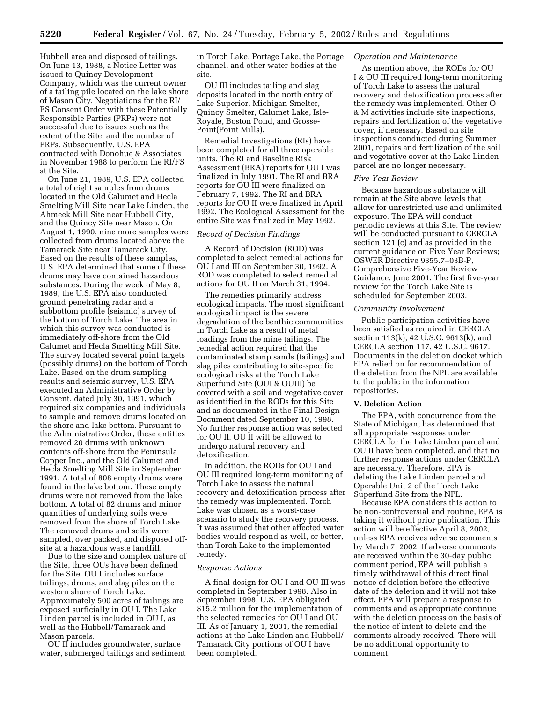Hubbell area and disposed of tailings. On June 13, 1988, a Notice Letter was issued to Quincy Development Company, which was the current owner of a tailing pile located on the lake shore of Mason City. Negotiations for the RI/ FS Consent Order with these Potentially Responsible Parties (PRPs) were not successful due to issues such as the extent of the Site, and the number of PRPs. Subsequently, U.S. EPA contracted with Donohue & Associates in November 1988 to perform the RI/FS at the Site.

On June 21, 1989, U.S. EPA collected a total of eight samples from drums located in the Old Calumet and Hecla Smelting Mill Site near Lake Linden, the Ahmeek Mill Site near Hubbell City, and the Quincy Site near Mason. On August 1, 1990, nine more samples were collected from drums located above the Tamarack Site near Tamarack City. Based on the results of these samples, U.S. EPA determined that some of these drums may have contained hazardous substances. During the week of May 8, 1989, the U.S. EPA also conducted ground penetrating radar and a subbottom profile (seismic) survey of the bottom of Torch Lake. The area in which this survey was conducted is immediately off-shore from the Old Calumet and Hecla Smelting Mill Site. The survey located several point targets (possibly drums) on the bottom of Torch Lake. Based on the drum sampling results and seismic survey, U.S. EPA executed an Administrative Order by Consent, dated July 30, 1991, which required six companies and individuals to sample and remove drums located on the shore and lake bottom. Pursuant to the Administrative Order, these entities removed 20 drums with unknown contents off-shore from the Peninsula Copper Inc., and the Old Calumet and Hecla Smelting Mill Site in September 1991. A total of 808 empty drums were found in the lake bottom. These empty drums were not removed from the lake bottom. A total of 82 drums and minor quantities of underlying soils were removed from the shore of Torch Lake. The removed drums and soils were sampled, over packed, and disposed offsite at a hazardous waste landfill.

Due to the size and complex nature of the Site, three OUs have been defined for the Site. OU I includes surface tailings, drums, and slag piles on the western shore of Torch Lake. Approximately 500 acres of tailings are exposed surficially in OU I. The Lake Linden parcel is included in OU I, as well as the Hubbell/Tamarack and Mason parcels.

OU II includes groundwater, surface water, submerged tailings and sediment in Torch Lake, Portage Lake, the Portage channel, and other water bodies at the site.

OU III includes tailing and slag deposits located in the north entry of Lake Superior, Michigan Smelter, Quincy Smelter, Calumet Lake, Isle-Royale, Boston Pond, and Grosse-Point(Point Mills).

Remedial Investigations (RIs) have been completed for all three operable units. The RI and Baseline Risk Assessment (BRA) reports for OU I was finalized in July 1991. The RI and BRA reports for OU III were finalized on February 7, 1992. The RI and BRA reports for OU II were finalized in April 1992. The Ecological Assessment for the entire Site was finalized in May 1992.

## *Record of Decision Findings*

A Record of Decision (ROD) was completed to select remedial actions for OU I and III on September 30, 1992. A ROD was completed to select remedial actions for OU II on March 31, 1994.

The remedies primarily address ecological impacts. The most significant ecological impact is the severe degradation of the benthic communities in Torch Lake as a result of metal loadings from the mine tailings. The remedial action required that the contaminated stamp sands (tailings) and slag piles contributing to site-specific ecological risks at the Torch Lake Superfund Site (OUI & OUIII) be covered with a soil and vegetative cover as identified in the RODs for this Site and as documented in the Final Design Document dated September 10, 1998. No further response action was selected for OU II. OU II will be allowed to undergo natural recovery and detoxification.

In addition, the RODs for OU I and OU III required long-term monitoring of Torch Lake to assess the natural recovery and detoxification process after the remedy was implemented. Torch Lake was chosen as a worst-case scenario to study the recovery process. It was assumed that other affected water bodies would respond as well, or better, than Torch Lake to the implemented remedy.

## *Response Actions*

A final design for OU I and OU III was completed in September 1998. Also in September 1998, U.S. EPA obligated \$15.2 million for the implementation of the selected remedies for OU I and OU III. As of January 1, 2001, the remedial actions at the Lake Linden and Hubbell/ Tamarack City portions of OU I have been completed.

# *Operation and Maintenance*

As mention above, the RODs for OU I & OU III required long-term monitoring of Torch Lake to assess the natural recovery and detoxification process after the remedy was implemented. Other O & M activities include site inspections, repairs and fertilization of the vegetative cover, if necessary. Based on site inspections conducted during Summer 2001, repairs and fertilization of the soil and vegetative cover at the Lake Linden parcel are no longer necessary.

#### *Five-Year Review*

Because hazardous substance will remain at the Site above levels that allow for unrestricted use and unlimited exposure. The EPA will conduct periodic reviews at this Site. The review will be conducted pursuant to CERCLA section 121 (c) and as provided in the current guidance on Five Year Reviews; OSWER Directive 9355.7–03B-P, Comprehensive Five-Year Review Guidance, June 2001. The first five-year review for the Torch Lake Site is scheduled for September 2003.

#### *Community Involvement*

Public participation activities have been satisfied as required in CERCLA section 113(k), 42 U.S.C. 9613(k), and CERCLA section 117, 42 U.S.C. 9617. Documents in the deletion docket which EPA relied on for recommendation of the deletion from the NPL are available to the public in the information repositories.

#### **V. Deletion Action**

The EPA, with concurrence from the State of Michigan, has determined that all appropriate responses under CERCLA for the Lake Linden parcel and OU II have been completed, and that no further response actions under CERCLA are necessary. Therefore, EPA is deleting the Lake Linden parcel and Operable Unit 2 of the Torch Lake Superfund Site from the NPL.

Because EPA considers this action to be non-controversial and routine, EPA is taking it without prior publication. This action will be effective April 8, 2002, unless EPA receives adverse comments by March 7, 2002. If adverse comments are received within the 30-day public comment period, EPA will publish a timely withdrawal of this direct final notice of deletion before the effective date of the deletion and it will not take effect. EPA will prepare a response to comments and as appropriate continue with the deletion process on the basis of the notice of intent to delete and the comments already received. There will be no additional opportunity to comment.